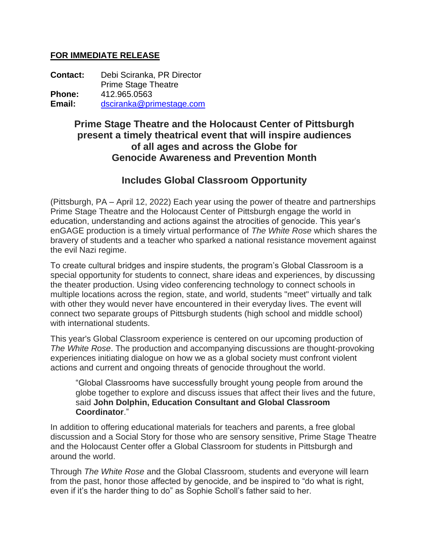## **FOR IMMEDIATE RELEASE**

**Contact:** Debi Sciranka, PR Director Prime Stage Theatre **Phone:** 412.965.0563 **Email:** [dsciranka@primestage.com](mailto:dsciranka@primestage.com)

## **Prime Stage Theatre and the Holocaust Center of Pittsburgh present a timely theatrical event that will inspire audiences of all ages and across the Globe for Genocide Awareness and Prevention Month**

# **Includes Global Classroom Opportunity**

(Pittsburgh, PA – April 12, 2022) Each year using the power of theatre and partnerships Prime Stage Theatre and the Holocaust Center of Pittsburgh engage the world in education, understanding and actions against the atrocities of genocide. This year's enGAGE production is a timely virtual performance of *The White Rose* which shares the bravery of students and a teacher who sparked a national resistance movement against the evil Nazi regime.

To create cultural bridges and inspire students, the program's Global Classroom is a special opportunity for students to connect, share ideas and experiences, by discussing the theater production. Using video conferencing technology to connect schools in multiple locations across the region, state, and world, students "meet" virtually and talk with other they would never have encountered in their everyday lives. The event will connect two separate groups of Pittsburgh students (high school and middle school) with international students.

This year's Global Classroom experience is centered on our upcoming production of *The White Rose*. The production and accompanying discussions are thought-provoking experiences initiating dialogue on how we as a global society must confront violent actions and current and ongoing threats of genocide throughout the world.

"Global Classrooms have successfully brought young people from around the globe together to explore and discuss issues that affect their lives and the future, said **John Dolphin, Education Consultant and Global Classroom Coordinator**."

In addition to offering educational materials for teachers and parents, a free global discussion and a Social Story for those who are sensory sensitive, Prime Stage Theatre and the Holocaust Center offer a Global Classroom for students in Pittsburgh and around the world.

Through *The White Rose* and the Global Classroom, students and everyone will learn from the past, honor those affected by genocide, and be inspired to "do what is right, even if it's the harder thing to do" as Sophie Scholl's father said to her.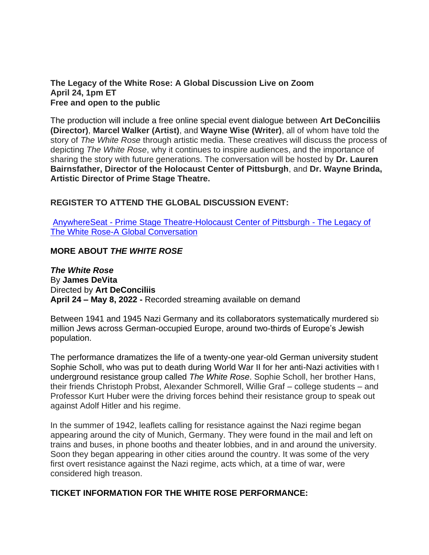**The Legacy of the White Rose: A Global Discussion Live on Zoom April 24, 1pm ET Free and open to the public**

The production will include a free online special event dialogue between **Art DeConciliis (Director)**, **Marcel Walker (Artist)**, and **Wayne Wise (Writer)**, all of whom have told the story of *The White Rose* through artistic media. These creatives will discuss the process of depicting *The White Rose*, why it continues to inspire audiences, and the importance of sharing the story with future generations. The conversation will be hosted by **Dr. Lauren Bairnsfather, Director of the Holocaust Center of Pittsburgh**, and **Dr. Wayne Brinda, Artistic Director of Prime Stage Theatre.**

## **REGISTER TO ATTEND THE GLOBAL DISCUSSION EVENT:**

AnywhereSeat - [Prime Stage Theatre-Holocaust Center of Pittsburgh -](https://wwwprimestagecom.anywhereseat.com/access.php?event_id=13528&time_id=12181) The Legacy of [The White Rose-A Global Conversation](https://wwwprimestagecom.anywhereseat.com/access.php?event_id=13528&time_id=12181)

### **MORE ABOUT** *THE WHITE ROSE*

*The White Rose* By **James DeVita** Directed by **Art DeConciliis April 24 – May 8, 2022 -** Recorded streaming available on demand

Between 1941 and 1945 Nazi Germany and its collaborators systematically murdered six million Jews across German-occupied Europe, around two-thirds of Europe's Jewish population.

The performance dramatizes the life of a twenty-one year-old German university student, Sophie Scholl, who was put to death during World War II for her anti-Nazi activities with the underground resistance group called *The White Rose*. Sophie Scholl, her brother Hans, their friends Christoph Probst, Alexander Schmorell, Willie Graf – college students – and Professor Kurt Huber were the driving forces behind their resistance group to speak out against Adolf Hitler and his regime.

In the summer of 1942, leaflets calling for resistance against the Nazi regime began appearing around the city of Munich, Germany. They were found in the mail and left on trains and buses, in phone booths and theater lobbies, and in and around the university. Soon they began appearing in other cities around the country. It was some of the very first overt resistance against the Nazi regime, acts which, at a time of war, were considered high treason.

### **TICKET INFORMATION FOR THE WHITE ROSE PERFORMANCE:**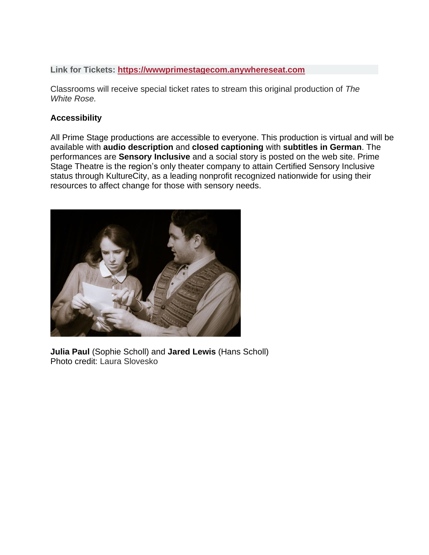**Link for Tickets: [https://wwwprimestagecom.anywhereseat.com](https://wwwprimestagecom.anywhereseat.com/)**

Classrooms will receive special ticket rates to stream this original production of *The White Rose.*

#### **Accessibility**

All Prime Stage productions are accessible to everyone. This production is virtual and will be available with **audio description** and **closed captioning** with **subtitles in German**. The performances are **Sensory Inclusive** and a social story is posted on the web site. Prime Stage Theatre is the region's only theater company to attain Certified Sensory Inclusive status through KultureCity, as a leading nonprofit recognized nationwide for using their resources to affect change for those with sensory needs.



**Julia Paul** (Sophie Scholl) and **Jared Lewis** (Hans Scholl) Photo credit: Laura Slovesko